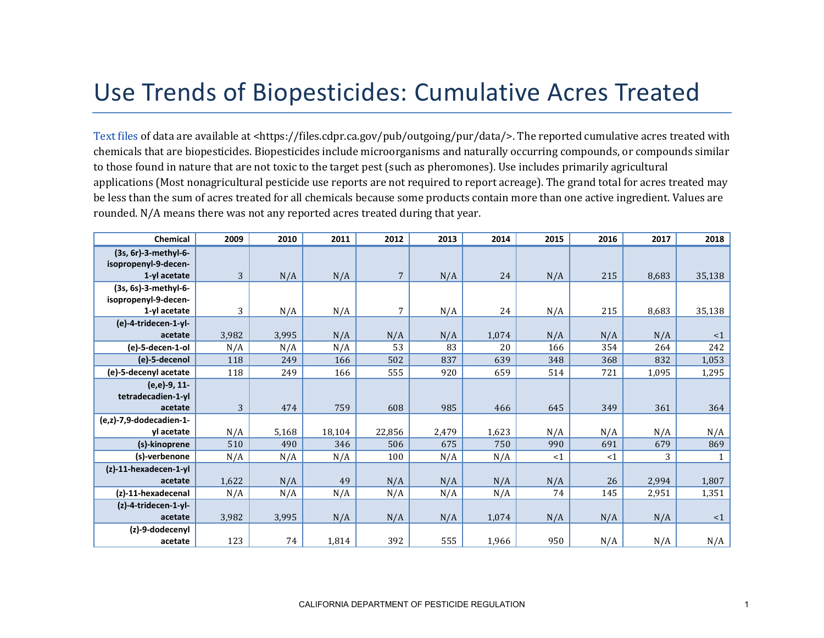## Use Trends of Biopesticides: Cumulative Acres Treated

[Text files](https://files.cdpr.ca.gov/pub/outgoing/pur/data/) of data are available at <https://files.cdpr.ca.gov/pub/outgoing/pur/data/>. The reported cumulative acres treated with chemicals that are biopesticides. Biopesticides include microorganisms and naturally occurring compounds, or compounds similar to those found in nature that are not toxic to the target pest (such as pheromones). Use includes primarily agricultural applications (Most nonagricultural pesticide use reports are not required to report acreage). The grand total for acres treated may be less than the sum of acres treated for all chemicals because some products contain more than one active ingredient. Values are rounded. N/A means there was not any reported acres treated during that year.

| Chemical                                                     | 2009  | 2010  | 2011   | 2012           | 2013  | 2014  | 2015 | 2016 | 2017  | 2018         |
|--------------------------------------------------------------|-------|-------|--------|----------------|-------|-------|------|------|-------|--------------|
| (3s, 6r)-3-methyl-6-<br>isopropenyl-9-decen-<br>1-yl acetate | 3     | N/A   | N/A    | $\overline{7}$ | N/A   | 24    | N/A  | 215  | 8,683 | 35,138       |
| (3s, 6s)-3-methyl-6-                                         |       |       |        |                |       |       |      |      |       |              |
| isopropenyl-9-decen-                                         |       |       |        |                |       |       |      |      |       |              |
| 1-yl acetate                                                 | 3     | N/A   | N/A    | 7              | N/A   | 24    | N/A  | 215  | 8,683 | 35,138       |
| (e)-4-tridecen-1-yl-                                         |       |       |        |                |       |       |      |      |       |              |
| acetate                                                      | 3,982 | 3,995 | N/A    | N/A            | N/A   | 1,074 | N/A  | N/A  | N/A   | $\leq 1$     |
| (e)-5-decen-1-ol                                             | N/A   | N/A   | N/A    | 53             | 83    | 20    | 166  | 354  | 264   | 242          |
|                                                              |       |       |        |                |       |       |      |      |       |              |
| (e)-5-decenol                                                | 118   | 249   | 166    | 502            | 837   | 639   | 348  | 368  | 832   | 1,053        |
| (e)-5-decenyl acetate                                        | 118   | 249   | 166    | 555            | 920   | 659   | 514  | 721  | 1,095 | 1,295        |
| (e,e)-9, 11-                                                 |       |       |        |                |       |       |      |      |       |              |
| tetradecadien-1-yl                                           |       |       |        |                |       |       |      |      |       |              |
| acetate                                                      | 3     | 474   | 759    | 608            | 985   | 466   | 645  | 349  | 361   | 364          |
| (e,z)-7,9-dodecadien-1-                                      |       |       |        |                |       |       |      |      |       |              |
| vl acetate                                                   | N/A   | 5,168 | 18,104 | 22,856         | 2,479 | 1,623 | N/A  | N/A  | N/A   | N/A          |
| (s)-kinoprene                                                | 510   | 490   | 346    | 506            | 675   | 750   | 990  | 691  | 679   | 869          |
| (s)-verbenone                                                | N/A   | N/A   | N/A    | 100            | N/A   | N/A   | <1   | <1   | 3     | $\mathbf{1}$ |
| $(z)$ -11-hexadecen-1-yl                                     |       |       |        |                |       |       |      |      |       |              |
| acetate                                                      | 1,622 | N/A   | 49     | N/A            | N/A   | N/A   | N/A  | 26   | 2,994 | 1,807        |
| (z)-11-hexadecenal                                           | N/A   | N/A   | N/A    | N/A            | N/A   | N/A   | 74   | 145  | 2,951 | 1,351        |
| (z)-4-tridecen-1-yl-                                         |       |       |        |                |       |       |      |      |       |              |
| acetate                                                      | 3,982 | 3,995 | N/A    | N/A            | N/A   | 1,074 | N/A  | N/A  | N/A   | <1           |
| (z)-9-dodecenyl                                              |       |       |        |                |       |       |      |      |       |              |
| acetate                                                      | 123   | 74    | 1,814  | 392            | 555   | 1,966 | 950  | N/A  | N/A   | N/A          |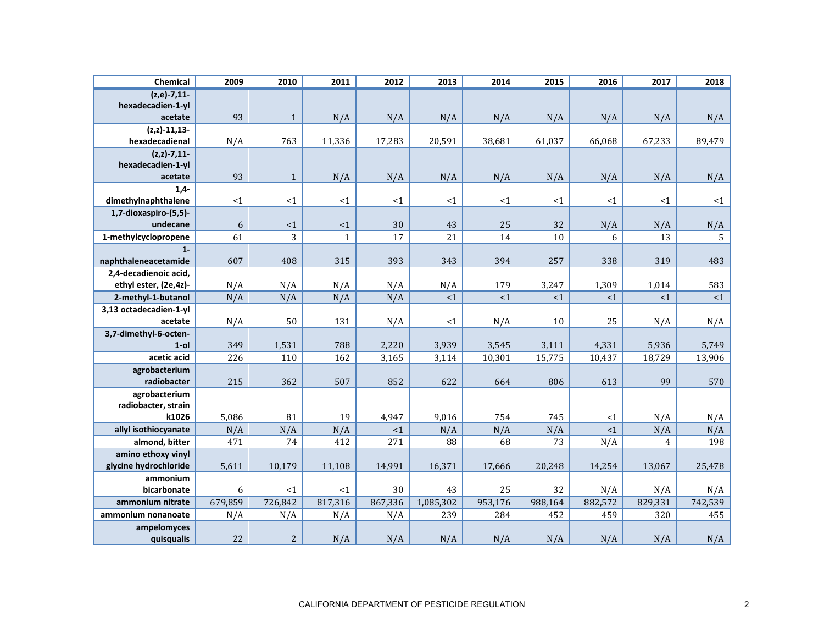| Chemical                                     | 2009           | 2010           | 2011           | 2012           | 2013             | 2014           | 2015           | 2016           | 2017           | 2018           |
|----------------------------------------------|----------------|----------------|----------------|----------------|------------------|----------------|----------------|----------------|----------------|----------------|
| $(z,e)-7,11-$                                |                |                |                |                |                  |                |                |                |                |                |
| hexadecadien-1-yl<br>acetate                 | 93             | $\mathbf{1}$   | N/A            | N/A            | N/A              | N/A            | N/A            | N/A            | N/A            | N/A            |
| $(z, z) - 11, 13 -$                          |                |                |                |                |                  |                |                |                |                |                |
| hexadecadienal                               | N/A            | 763            | 11,336         | 17,283         | 20,591           | 38,681         | 61,037         | 66,068         | 67,233         | 89,479         |
| $(z, z) - 7, 11$                             |                |                |                |                |                  |                |                |                |                |                |
| hexadecadien-1-yl                            |                |                |                |                |                  |                |                |                |                |                |
| acetate                                      | 93             | $\mathbf{1}$   | N/A            | N/A            | N/A              | N/A            | N/A            | N/A            | N/A            | N/A            |
| $1,4-$<br>dimethylnaphthalene                | ${<}1$         | $<1\,$         | $<1\,$         | <1             | $<\!1$           | <1             | <1             | <1             | <1             | $\leq 1$       |
| 1,7-dioxaspiro-(5,5)-                        |                |                |                |                |                  |                |                |                |                |                |
| undecane                                     | 6              | $\leq 1$       | <1             | 30             | 43               | 25             | 32             | N/A            | N/A            | N/A            |
| 1-methylcyclopropene                         | 61             | 3              | $\mathbf{1}$   | 17             | 21               | 14             | 10             | 6              | 13             | 5              |
| $1 -$                                        |                |                |                |                |                  |                |                |                |                |                |
| naphthaleneacetamide                         | 607            | 408            | 315            | 393            | 343              | 394            | 257            | 338            | 319            | 483            |
| 2,4-decadienoic acid,                        |                |                |                |                |                  |                |                |                |                |                |
| ethyl ester, (2e,4z)-                        | N/A            | N/A            | N/A            | N/A            | N/A              | 179            | 3,247          | 1,309          | 1,014          | 583            |
| 2-methyl-1-butanol<br>3,13 octadecadien-1-yl | N/A            | N/A            | N/A            | N/A            | <1               | <1             | <1             | <1             | <1             | ${<}1$         |
| acetate                                      | N/A            | 50             | 131            | N/A            | <1               | N/A            | 10             | 25             | N/A            | N/A            |
| 3,7-dimethyl-6-octen-                        |                |                |                |                |                  |                |                |                |                |                |
| $1$ -ol                                      | 349            | 1,531          | 788            | 2,220          | 3,939            | 3,545          | 3,111          | 4,331          | 5,936          | 5,749          |
| acetic acid                                  | 226            | 110            | 162            | 3,165          | 3,114            | 10,301         | 15,775         | 10,437         | 18,729         | 13,906         |
| agrobacterium                                |                |                |                |                |                  |                |                |                |                |                |
| radiobacter                                  | 215            | 362            | 507            | 852            | 622              | 664            | 806            | 613            | 99             | 570            |
| agrobacterium<br>radiobacter, strain         |                |                |                |                |                  |                |                |                |                |                |
| k1026                                        | 5,086          | 81             | 19             | 4,947          | 9,016            | 754            | 745            | <1             | N/A            | N/A            |
| allyl isothiocyanate                         | N/A            | N/A            | N/A            | <1             | N/A              | N/A            | N/A            | <1             | N/A            | N/A            |
| almond, bitter                               | 471            | 74             | 412            | 271            | 88               | 68             | 73             | N/A            | 4              | 198            |
| amino ethoxy vinyl                           |                |                |                |                |                  |                |                |                |                |                |
| glycine hydrochloride                        | 5,611          | 10,179         | 11,108         | 14,991         | 16,371           | 17,666         | 20,248         | 14,254         | 13,067         | 25,478         |
| ammonium                                     |                |                |                |                |                  |                |                |                |                |                |
| bicarbonate                                  | 6              | <1             | $\leq 1$       | 30             | 43               | 25             | 32             | N/A            | N/A            | N/A            |
| ammonium nitrate<br>ammonium nonanoate       | 679,859<br>N/A | 726,842<br>N/A | 817,316<br>N/A | 867,336<br>N/A | 1,085,302<br>239 | 953,176<br>284 | 988,164<br>452 | 882,572<br>459 | 829,331<br>320 | 742,539<br>455 |
| ampelomyces                                  |                |                |                |                |                  |                |                |                |                |                |
| quisqualis                                   | 22             | 2              | N/A            | N/A            | N/A              | N/A            | N/A            | N/A            | N/A            | N/A            |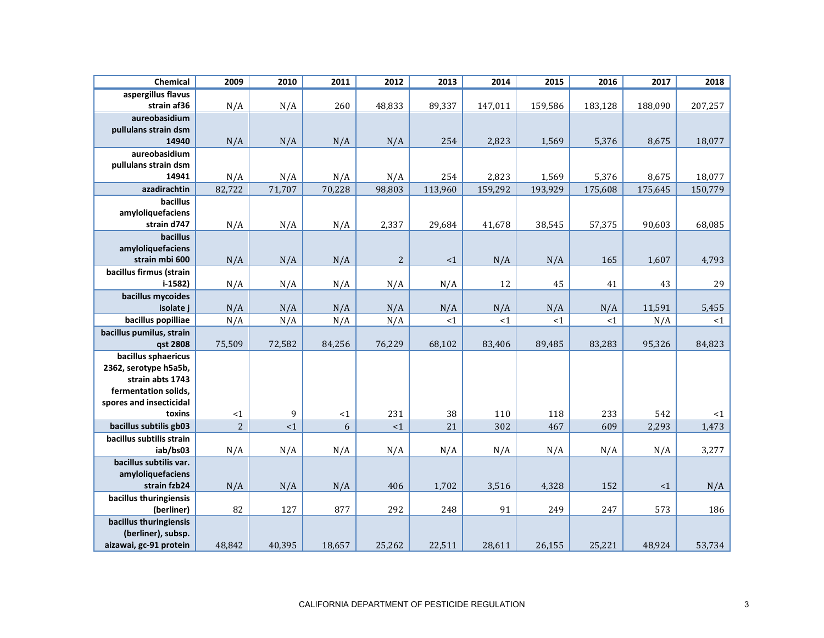| Chemical                         | 2009                 | 2010          | 2011            | 2012          | 2013     | 2014    | 2015             | 2016    | 2017    | 2018    |
|----------------------------------|----------------------|---------------|-----------------|---------------|----------|---------|------------------|---------|---------|---------|
| aspergillus flavus               |                      |               |                 |               |          |         |                  |         |         |         |
| strain af36                      | N/A                  | N/A           | 260             | 48,833        | 89,337   | 147,011 | 159,586          | 183,128 | 188,090 | 207,257 |
| aureobasidium                    |                      |               |                 |               |          |         |                  |         |         |         |
| pullulans strain dsm             |                      |               |                 |               |          |         |                  |         |         |         |
| 14940                            | N/A                  | N/A           | N/A             | N/A           | 254      | 2,823   | 1,569            | 5,376   | 8,675   | 18,077  |
| aureobasidium                    |                      |               |                 |               |          |         |                  |         |         |         |
| pullulans strain dsm<br>14941    |                      |               |                 |               | 254      | 2,823   |                  |         | 8,675   | 18,077  |
| azadirachtin                     | N/A<br>82,722        | N/A<br>71,707 | N/A<br>70,228   | N/A<br>98,803 | 113,960  | 159,292 | 1,569<br>193,929 | 5,376   |         |         |
| bacillus                         |                      |               |                 |               |          |         |                  | 175,608 | 175,645 | 150,779 |
| amyloliquefaciens                |                      |               |                 |               |          |         |                  |         |         |         |
| strain d747                      | N/A                  | N/A           | N/A             | 2,337         | 29,684   | 41,678  | 38,545           | 57,375  | 90,603  | 68,085  |
| bacillus                         |                      |               |                 |               |          |         |                  |         |         |         |
| amyloliquefaciens                |                      |               |                 |               |          |         |                  |         |         |         |
| strain mbi 600                   | N/A                  | N/A           | N/A             | $\sqrt{2}$    | ${<}1$   | N/A     | N/A              | 165     | 1,607   | 4,793   |
| bacillus firmus (strain          |                      |               |                 |               |          |         |                  |         |         |         |
| $i-1582$                         | N/A                  | N/A           | N/A             | N/A           | N/A      | 12      | 45               | 41      | 43      | 29      |
| bacillus mycoides                |                      |               |                 |               |          |         |                  |         |         |         |
| isolate j                        | N/A                  | N/A           | N/A             | N/A           | N/A      | N/A     | N/A              | N/A     | 11,591  | 5,455   |
| bacillus popilliae               | N/A                  | N/A           | N/A             | N/A           | <1       | <1      | <1               | <1      | N/A     | <1      |
| bacillus pumilus, strain         |                      |               |                 |               |          |         |                  |         |         |         |
| qst 2808                         | 75,509               | 72,582        | 84,256          | 76,229        | 68,102   | 83,406  | 89,485           | 83,283  | 95,326  | 84,823  |
| bacillus sphaericus              |                      |               |                 |               |          |         |                  |         |         |         |
| 2362, serotype h5a5b,            |                      |               |                 |               |          |         |                  |         |         |         |
| strain abts 1743                 |                      |               |                 |               |          |         |                  |         |         |         |
| fermentation solids,             |                      |               |                 |               |          |         |                  |         |         |         |
| spores and insecticidal          |                      |               |                 |               |          |         |                  |         | 542     |         |
| toxins<br>bacillus subtilis gb03 | <1<br>$\overline{c}$ | 9<br><1       | ${<}1$<br>$6\,$ | 231<br><1     | 38<br>21 | 110     | 118              | 233     |         | <1      |
| bacillus subtilis strain         |                      |               |                 |               |          | 302     | 467              | 609     | 2,293   | 1,473   |
| iab/bs03                         | N/A                  | N/A           | N/A             | N/A           | N/A      | N/A     | N/A              | N/A     | N/A     | 3,277   |
| bacillus subtilis var.           |                      |               |                 |               |          |         |                  |         |         |         |
| amyloliquefaciens                |                      |               |                 |               |          |         |                  |         |         |         |
| strain fzb24                     | N/A                  | N/A           | N/A             | 406           | 1,702    | 3,516   | 4,328            | 152     | ${<}1$  | N/A     |
| bacillus thuringiensis           |                      |               |                 |               |          |         |                  |         |         |         |
| (berliner)                       | 82                   | 127           | 877             | 292           | 248      | 91      | 249              | 247     | 573     | 186     |
| bacillus thuringiensis           |                      |               |                 |               |          |         |                  |         |         |         |
| (berliner), subsp.               |                      |               |                 |               |          |         |                  |         |         |         |
| aizawai, gc-91 protein           | 48,842               | 40,395        | 18,657          | 25,262        | 22,511   | 28,611  | 26,155           | 25,221  | 48,924  | 53,734  |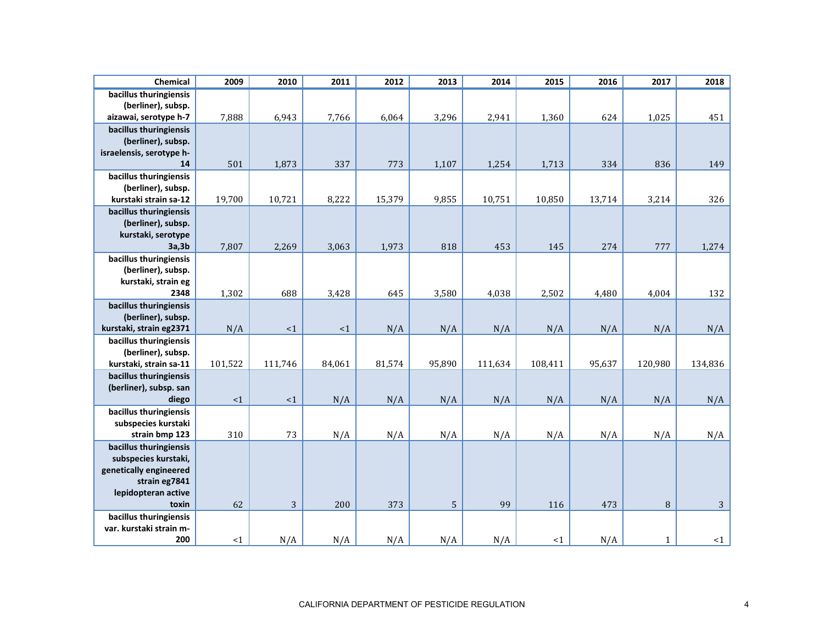| Chemical                                                                                                                  | 2009    | 2010       | 2011     | 2012   | 2013   | 2014    | 2015    | 2016   | 2017         | 2018         |
|---------------------------------------------------------------------------------------------------------------------------|---------|------------|----------|--------|--------|---------|---------|--------|--------------|--------------|
| bacillus thuringiensis<br>(berliner), subsp.<br>aizawai, serotype h-7                                                     | 7,888   | 6,943      | 7,766    | 6,064  | 3,296  | 2,941   | 1,360   | 624    | 1,025        | 451          |
| bacillus thuringiensis<br>(berliner), subsp.<br>israelensis, serotype h-<br>14                                            | 501     | 1,873      | 337      | 773    | 1,107  | 1,254   | 1,713   | 334    | 836          | 149          |
| bacillus thuringiensis<br>(berliner), subsp.<br>kurstaki strain sa-12                                                     | 19,700  | 10,721     | 8,222    | 15,379 | 9,855  | 10,751  | 10,850  | 13,714 | 3,214        | 326          |
| bacillus thuringiensis<br>(berliner), subsp.<br>kurstaki, serotype<br>3a,3b                                               | 7,807   | 2,269      | 3,063    | 1,973  | 818    | 453     | 145     | 274    | 777          | 1,274        |
| bacillus thuringiensis<br>(berliner), subsp.<br>kurstaki, strain eg<br>2348                                               | 1,302   | 688        | 3,428    | 645    | 3,580  | 4,038   | 2,502   | 4,480  | 4,004        | 132          |
| bacillus thuringiensis<br>(berliner), subsp.<br>kurstaki, strain eg2371                                                   | N/A     | ${<}1$     | $\leq$ 1 | N/A    | N/A    | N/A     | N/A     | N/A    | N/A          | N/A          |
| bacillus thuringiensis<br>(berliner), subsp.<br>kurstaki, strain sa-11                                                    | 101,522 | 111,746    | 84,061   | 81,574 | 95,890 | 111,634 | 108,411 | 95,637 | 120,980      | 134,836      |
| bacillus thuringiensis<br>(berliner), subsp. san<br>diego                                                                 | <1      | ${<}1$     | N/A      | N/A    | N/A    | N/A     | N/A     | N/A    | N/A          | N/A          |
| bacillus thuringiensis<br>subspecies kurstaki<br>strain bmp 123                                                           | 310     | 73         | N/A      | N/A    | N/A    | N/A     | N/A     | N/A    | N/A          | N/A          |
| bacillus thuringiensis<br>subspecies kurstaki,<br>genetically engineered<br>strain eg7841<br>lepidopteran active<br>toxin | 62      | $\sqrt{3}$ | 200      | 373    | 5      | 99      | 116     | 473    | $\, 8$       | $\mathbf{3}$ |
| bacillus thuringiensis<br>var. kurstaki strain m-<br>200                                                                  | <1      | N/A        | N/A      | N/A    | N/A    | N/A     | <1      | N/A    | $\mathbf{1}$ | <1           |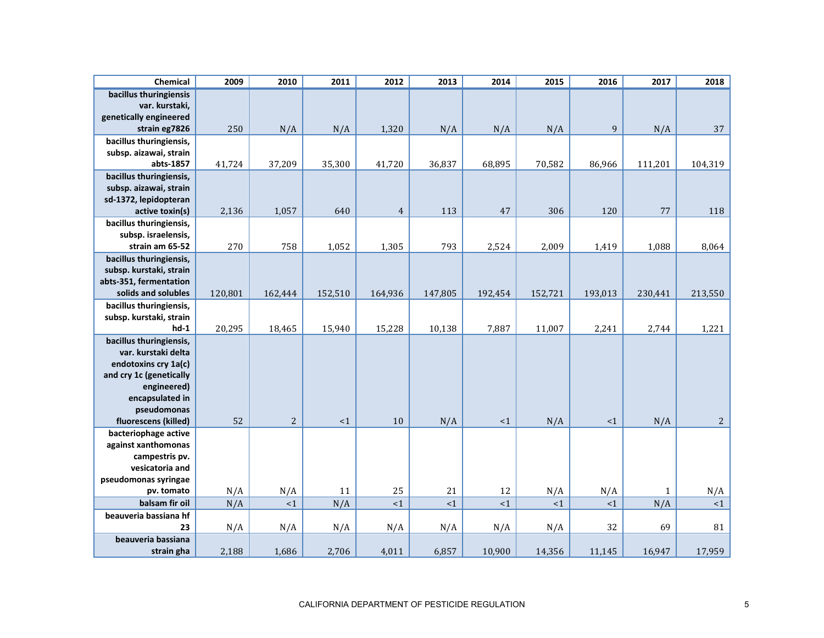| Chemical                                                                            | 2009    | 2010           | 2011     | 2012           | 2013    | 2014    | 2015    | 2016        | 2017        | 2018        |
|-------------------------------------------------------------------------------------|---------|----------------|----------|----------------|---------|---------|---------|-------------|-------------|-------------|
| bacillus thuringiensis<br>var. kurstaki,<br>genetically engineered<br>strain eg7826 | 250     | N/A            | N/A      | 1,320          | N/A     | N/A     | N/A     | $\mathbf 9$ | N/A         | 37          |
|                                                                                     |         |                |          |                |         |         |         |             |             |             |
| bacillus thuringiensis,                                                             |         |                |          |                |         |         |         |             |             |             |
| subsp. aizawai, strain<br>abts-1857                                                 | 41,724  | 37,209         | 35,300   |                | 36,837  | 68,895  | 70,582  | 86,966      | 111,201     |             |
|                                                                                     |         |                |          | 41,720         |         |         |         |             |             | 104,319     |
| bacillus thuringiensis,<br>subsp. aizawai, strain                                   |         |                |          |                |         |         |         |             |             |             |
| sd-1372, lepidopteran                                                               |         |                |          |                |         |         |         |             |             |             |
| active toxin(s)                                                                     | 2,136   | 1,057          | 640      | $\overline{4}$ | 113     | 47      | 306     | 120         | 77          | 118         |
| bacillus thuringiensis,                                                             |         |                |          |                |         |         |         |             |             |             |
| subsp. israelensis,                                                                 |         |                |          |                |         |         |         |             |             |             |
| strain am 65-52                                                                     | 270     | 758            | 1,052    | 1,305          | 793     | 2,524   | 2,009   | 1,419       | 1,088       | 8,064       |
| bacillus thuringiensis,                                                             |         |                |          |                |         |         |         |             |             |             |
| subsp. kurstaki, strain                                                             |         |                |          |                |         |         |         |             |             |             |
| abts-351, fermentation                                                              |         |                |          |                |         |         |         |             |             |             |
| solids and solubles                                                                 | 120,801 | 162,444        | 152,510  | 164,936        | 147,805 | 192,454 | 152,721 | 193,013     | 230,441     | 213,550     |
| bacillus thuringiensis,                                                             |         |                |          |                |         |         |         |             |             |             |
| subsp. kurstaki, strain                                                             |         |                |          |                |         |         |         |             |             |             |
| $hd-1$                                                                              | 20,295  | 18,465         | 15,940   | 15,228         | 10,138  | 7,887   | 11,007  | 2,241       | 2,744       | 1,221       |
| bacillus thuringiensis,                                                             |         |                |          |                |         |         |         |             |             |             |
| var. kurstaki delta                                                                 |         |                |          |                |         |         |         |             |             |             |
| endotoxins cry 1a(c)                                                                |         |                |          |                |         |         |         |             |             |             |
| and cry 1c (genetically                                                             |         |                |          |                |         |         |         |             |             |             |
| engineered)                                                                         |         |                |          |                |         |         |         |             |             |             |
| encapsulated in                                                                     |         |                |          |                |         |         |         |             |             |             |
| pseudomonas                                                                         |         |                |          |                |         |         |         |             |             |             |
| fluorescens (killed)                                                                | 52      | $\overline{c}$ | $\leq$ 1 | $10\,$         | N/A     | ${<}1$  | N/A     | $\leq 1$    | N/A         | $2^{\circ}$ |
| bacteriophage active                                                                |         |                |          |                |         |         |         |             |             |             |
| against xanthomonas<br>campestris pv.                                               |         |                |          |                |         |         |         |             |             |             |
| vesicatoria and                                                                     |         |                |          |                |         |         |         |             |             |             |
| pseudomonas syringae                                                                |         |                |          |                |         |         |         |             |             |             |
| pv. tomato                                                                          | N/A     | N/A            | 11       | 25             | 21      | 12      | N/A     | N/A         | $\mathbf 1$ | N/A         |
| balsam fir oil                                                                      | N/A     | <1             | N/A      | <1             | <1      | ${<}1$  | <1      | <1          | N/A         | <1          |
| beauveria bassiana hf                                                               |         |                |          |                |         |         |         |             |             |             |
| 23                                                                                  | N/A     | N/A            | N/A      | N/A            | N/A     | N/A     | N/A     | 32          | 69          | 81          |
| beauveria bassiana                                                                  |         |                |          |                |         |         |         |             |             |             |
| strain gha                                                                          | 2,188   | 1,686          | 2,706    | 4,011          | 6,857   | 10,900  | 14,356  | 11,145      | 16,947      | 17,959      |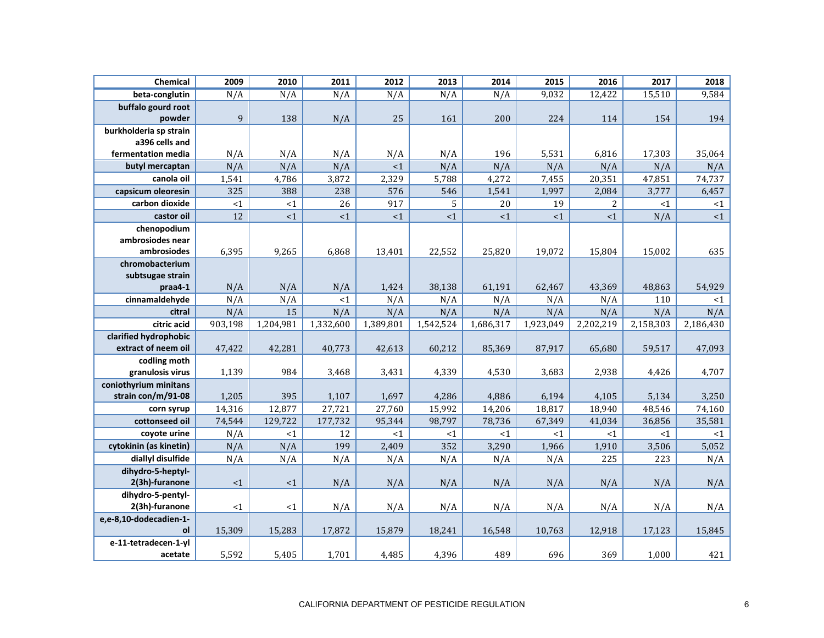| Chemical                     | 2009             | 2010      | 2011      | 2012      | 2013      | 2014      | 2015      | 2016           | 2017      | 2018      |
|------------------------------|------------------|-----------|-----------|-----------|-----------|-----------|-----------|----------------|-----------|-----------|
| beta-conglutin               | N/A              | N/A       | N/A       | N/A       | N/A       | N/A       | 9,032     | 12,422         | 15,510    | 9,584     |
| buffalo gourd root           |                  |           |           |           |           |           |           |                |           |           |
| powder                       | $\boldsymbol{9}$ | 138       | N/A       | 25        | 161       | 200       | 224       | 114            | 154       | 194       |
| burkholderia sp strain       |                  |           |           |           |           |           |           |                |           |           |
| a396 cells and               |                  |           |           |           |           |           |           |                |           |           |
| fermentation media           | N/A              | N/A       | N/A       | N/A       | N/A       | 196       | 5,531     | 6,816          | 17,303    | 35,064    |
| butyl mercaptan              | N/A              | N/A       | N/A       | <1        | N/A       | N/A       | N/A       | N/A            | N/A       | N/A       |
| canola oil                   | 1,541            | 4,786     | 3,872     | 2,329     | 5,788     | 4,272     | 7,455     | 20,351         | 47,851    | 74,737    |
| capsicum oleoresin           | 325              | 388       | 238       | 576       | 546       | 1,541     | 1,997     | 2,084          | 3,777     | 6,457     |
| carbon dioxide               | ${<}1$           | <1        | 26        | 917       | 5         | 20        | 19        | $\overline{c}$ | <1        | <1        |
| castor oil                   | 12               | <1        | ${<}1$    | <1        | ${<}1$    | ${<}1$    | ${<}1$    | ${<}1$         | N/A       | ${<}1$    |
| chenopodium                  |                  |           |           |           |           |           |           |                |           |           |
| ambrosiodes near             |                  |           |           |           |           |           |           |                |           |           |
| ambrosiodes                  | 6,395            | 9,265     | 6,868     | 13,401    | 22,552    | 25,820    | 19,072    | 15,804         | 15,002    | 635       |
| chromobacterium              |                  |           |           |           |           |           |           |                |           |           |
| subtsugae strain             |                  |           |           |           |           |           |           |                |           |           |
| praa4-1                      | N/A              | N/A       | N/A       | 1,424     | 38,138    | 61,191    | 62,467    | 43,369         | 48,863    | 54,929    |
| cinnamaldehyde               | N/A              | N/A       | <1        | N/A       | N/A       | N/A       | N/A       | N/A            | 110       | $<1$      |
| citral                       | N/A              | 15        | N/A       | N/A       | N/A       | N/A       | N/A       | N/A            | N/A       | N/A       |
| citric acid                  | 903,198          | 1,204,981 | 1,332,600 | 1,389,801 | 1,542,524 | 1,686,317 | 1,923,049 | 2,202,219      | 2,158,303 | 2,186,430 |
| clarified hydrophobic        |                  |           |           |           |           |           |           |                |           |           |
| extract of neem oil          | 47,422           | 42,281    | 40,773    | 42,613    | 60,212    | 85,369    | 87,917    | 65,680         | 59,517    | 47,093    |
| codling moth                 |                  |           |           |           |           |           |           |                |           |           |
| granulosis virus             | 1,139            | 984       | 3,468     | 3,431     | 4,339     | 4,530     | 3,683     | 2,938          | 4,426     | 4,707     |
| coniothyrium minitans        |                  |           |           |           |           |           |           |                |           |           |
| strain con/m/91-08           | 1,205            | 395       | 1,107     | 1,697     | 4,286     | 4,886     | 6,194     | 4,105          | 5,134     | 3,250     |
| corn syrup                   | 14,316           | 12,877    | 27,721    | 27,760    | 15,992    | 14,206    | 18,817    | 18,940         | 48,546    | 74,160    |
| cottonseed oil               | 74,544           | 129,722   | 177,732   | 95,344    | 98,797    | 78,736    | 67,349    | 41,034         | 36,856    | 35,581    |
| covote urine                 | N/A              | <1        | 12        | <1        | <1        | <1        | <1        | $<$ 1          | $<$ 1     | $\leq 1$  |
| cytokinin (as kinetin)       | N/A              | N/A       | 199       | 2,409     | 352       | 3,290     | 1,966     | 1,910          | 3,506     | 5,052     |
| diallyl disulfide            | N/A              | N/A       | N/A       | N/A       | N/A       | N/A       | N/A       | 225            | 223       | N/A       |
| dihydro-5-heptyl-            |                  |           |           |           |           |           |           |                |           |           |
| 2(3h)-furanone               | <1               | <1        | N/A       | N/A       | N/A       | N/A       | N/A       | N/A            | N/A       | N/A       |
| dihydro-5-pentyl-            |                  |           |           |           |           |           |           |                |           |           |
| 2(3h)-furanone               | <1               | <1        | N/A       | N/A       | N/A       | N/A       | N/A       | N/A            | N/A       | N/A       |
| e,e-8,10-dodecadien-1-<br>ol | 15,309           | 15,283    | 17,872    | 15,879    | 18,241    | 16,548    | 10,763    | 12,918         | 17,123    | 15,845    |
| e-11-tetradecen-1-yl         |                  |           |           |           |           |           |           |                |           |           |
| acetate                      | 5,592            | 5,405     | 1,701     | 4,485     | 4,396     | 489       | 696       | 369            | 1,000     | 421       |
|                              |                  |           |           |           |           |           |           |                |           |           |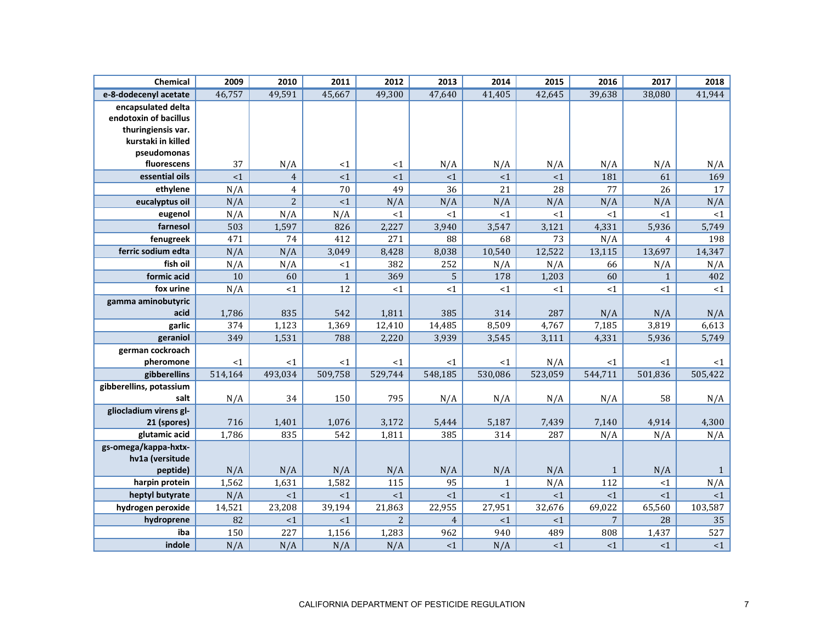| Chemical                | 2009    | 2010           | 2011           | 2012           | 2013           | 2014         | 2015    | 2016           | 2017           | 2018         |
|-------------------------|---------|----------------|----------------|----------------|----------------|--------------|---------|----------------|----------------|--------------|
| e-8-dodecenyl acetate   | 46,757  | 49,591         | 45,667         | 49,300         | 47,640         | 41,405       | 42,645  | 39,638         | 38,080         | 41,944       |
| encapsulated delta      |         |                |                |                |                |              |         |                |                |              |
| endotoxin of bacillus   |         |                |                |                |                |              |         |                |                |              |
| thuringiensis var.      |         |                |                |                |                |              |         |                |                |              |
| kurstaki in killed      |         |                |                |                |                |              |         |                |                |              |
| pseudomonas             |         |                |                |                |                |              |         |                |                |              |
| fluorescens             | 37      | N/A            | <1             | <1             | N/A            | N/A          | N/A     | N/A            | N/A            | N/A          |
| essential oils          | <1      | $\overline{4}$ | <1             | <1             | <1             | <1           | <1      | 181            | 61             | 169          |
| ethylene                | N/A     | $\overline{4}$ | 70             | 49             | 36             | 21           | 28      | 77             | 26             | 17           |
| eucalyptus oil          | N/A     | $\overline{2}$ | $\leq 1$       | N/A            | N/A            | N/A          | N/A     | N/A            | N/A            | N/A          |
| eugenol                 | N/A     | N/A            | N/A            | ${<}1$         | ${<}1$         | ${<}1$       | <1      | <1             | <1             | ${<}1$       |
| farnesol                | 503     | 1,597          | 826            | 2,227          | 3,940          | 3,547        | 3,121   | 4,331          | 5,936          | 5,749        |
| fenugreek               | 471     | 74             | 412            | 271            | 88             | 68           | 73      | N/A            | $\overline{4}$ | 198          |
| ferric sodium edta      | N/A     | N/A            | 3,049          | 8,428          | 8,038          | 10,540       | 12,522  | 13,115         | 13,697         | 14,347       |
| fish oil                | N/A     | N/A            | <1             | 382            | 252            | N/A          | N/A     | 66             | N/A            | N/A          |
| formic acid             | 10      | 60             | $\overline{1}$ | 369            | 5              | 178          | 1,203   | 60             | $1\,$          | 402          |
| fox urine               | N/A     | <1             | 12             | <1             | <1             | <1           | <1      | <1             | <1             | <1           |
| gamma aminobutyric      |         |                |                |                |                |              |         |                |                |              |
| acid                    | 1,786   | 835            | 542            | 1,811          | 385            | 314          | 287     | N/A            | N/A            | N/A          |
| garlic                  | 374     | 1,123          | 1,369          | 12,410         | 14,485         | 8,509        | 4,767   | 7,185          | 3,819          | 6,613        |
| geraniol                | 349     | 1,531          | 788            | 2,220          | 3,939          | 3,545        | 3,111   | 4,331          | 5,936          | 5,749        |
| german cockroach        |         |                |                |                |                |              |         |                |                |              |
| pheromone               | <1      | <1             | <1             | $<$ 1          | <1             | <1           | N/A     | $<$ 1          | <1             | $<$ 1        |
| gibberellins            | 514,164 | 493,034        | 509,758        | 529,744        | 548,185        | 530,086      | 523,059 | 544,711        | 501,836        | 505,422      |
| gibberellins, potassium |         |                |                |                |                |              |         |                |                |              |
| salt                    | N/A     | 34             | 150            | 795            | N/A            | N/A          | N/A     | N/A            | 58             | N/A          |
| gliocladium virens gl-  |         |                |                |                |                |              |         |                |                |              |
| 21 (spores)             | 716     | 1,401          | 1,076          | 3,172          | 5,444          | 5,187        | 7,439   | 7,140          | 4,914          | 4,300        |
| glutamic acid           | 1,786   | 835            | 542            | 1,811          | 385            | 314          | 287     | N/A            | N/A            | N/A          |
| gs-omega/kappa-hxtx-    |         |                |                |                |                |              |         |                |                |              |
| hv1a (versitude         |         |                |                |                |                |              |         |                |                |              |
| peptide)                | N/A     | N/A            | N/A            | N/A            | N/A            | N/A          | N/A     | $\mathbf{1}$   | N/A            | $\mathbf{1}$ |
| harpin protein          | 1,562   | 1,631          | 1,582          | 115            | 95             | $\mathbf{1}$ | N/A     | 112            | <1             | N/A          |
| heptyl butyrate         | N/A     | <1             | <1             | <1             | $\leq 1$       | <1           | <1      | <1             | <1             | <1           |
| hydrogen peroxide       | 14,521  | 23,208         | 39,194         | 21,863         | 22,955         | 27,951       | 32,676  | 69,022         | 65,560         | 103,587      |
| hydroprene              | 82      | <1             | <1             | $\overline{2}$ | $\overline{4}$ | <1           | <1      | $\overline{7}$ | 28             | 35           |
| iba                     | 150     | 227            | 1,156          | 1,283          | 962            | 940          | 489     | 808            | 1,437          | 527          |
| indole                  | N/A     | N/A            | N/A            | N/A            | <1             | N/A          | <1      | <1             | <1             | <1           |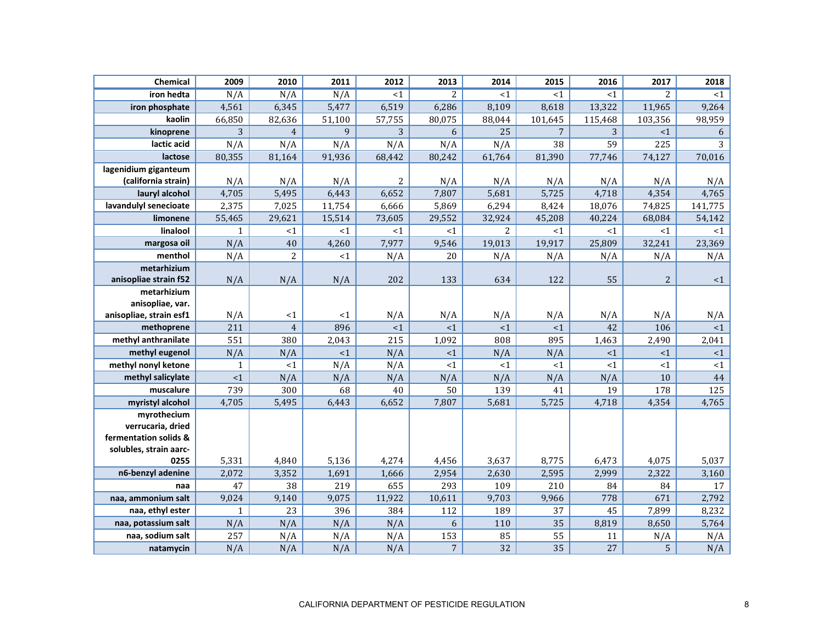| <b>Chemical</b>         | 2009         | 2010           | 2011   | 2012     | 2013           | 2014            | 2015           | 2016    | 2017           | 2018    |
|-------------------------|--------------|----------------|--------|----------|----------------|-----------------|----------------|---------|----------------|---------|
| iron hedta              | N/A          | N/A            | N/A    | <1       | 2              | <1              | $<$ 1          | <1      | $\overline{2}$ | <1      |
| iron phosphate          | 4,561        | 6,345          | 5,477  | 6,519    | 6,286          | 8,109           | 8,618          | 13,322  | 11,965         | 9,264   |
| kaolin                  | 66,850       | 82,636         | 51,100 | 57,755   | 80,075         | 88,044          | 101,645        | 115,468 | 103,356        | 98,959  |
| kinoprene               | 3            | $\overline{4}$ | 9      | 3        | 6              | $\overline{25}$ | $\overline{7}$ | 3       | <1             | 6       |
| lactic acid             | N/A          | N/A            | N/A    | N/A      | N/A            | N/A             | 38             | 59      | 225            | 3       |
| lactose                 | 80,355       | 81,164         | 91,936 | 68,442   | 80,242         | 61,764          | 81,390         | 77,746  | 74,127         | 70,016  |
| lagenidium giganteum    |              |                |        |          |                |                 |                |         |                |         |
| (california strain)     | N/A          | N/A            | N/A    | 2        | N/A            | N/A             | N/A            | N/A     | N/A            | N/A     |
| lauryl alcohol          | 4,705        | 5,495          | 6,443  | 6,652    | 7,807          | 5,681           | 5,725          | 4,718   | 4,354          | 4,765   |
| lavandulyl senecioate   | 2,375        | 7,025          | 11,754 | 6,666    | 5,869          | 6,294           | 8,424          | 18,076  | 74,825         | 141,775 |
| limonene                | 55,465       | 29,621         | 15,514 | 73,605   | 29,552         | 32,924          | 45,208         | 40,224  | 68,084         | 54,142  |
| linalool                | $\mathbf{1}$ | <1             | <1     | <1       | <1             | $\overline{2}$  | <1             | <1      | <1             | <1      |
| margosa oil             | N/A          | 40             | 4,260  | 7,977    | 9,546          | 19,013          | 19,917         | 25,809  | 32,241         | 23,369  |
| menthol                 | N/A          | $\overline{c}$ | <1     | N/A      | 20             | N/A             | N/A            | N/A     | N/A            | N/A     |
| metarhizium             |              |                |        |          |                |                 |                |         |                |         |
| anisopliae strain f52   | N/A          | N/A            | N/A    | 202      | 133            | 634             | 122            | 55      | $\overline{2}$ | <1      |
| metarhizium             |              |                |        |          |                |                 |                |         |                |         |
| anisopliae, var.        |              |                |        |          |                |                 |                |         |                |         |
| anisopliae, strain esf1 | N/A          | <1             | <1     | N/A      | N/A            | N/A             | N/A            | N/A     | N/A            | N/A     |
| methoprene              | 211          | $\overline{4}$ | 896    | $\leq 1$ | <1             | <1              | <1             | 42      | 106            | <1      |
| methyl anthranilate     | 551          | 380            | 2,043  | 215      | 1,092          | 808             | 895            | 1,463   | 2,490          | 2,041   |
| methyl eugenol          | N/A          | N/A            | <1     | N/A      | <1             | N/A             | N/A            | <1      | <1             | <1      |
| methyl nonyl ketone     | 1            | <1             | N/A    | N/A      | <1             | ${<}1$          | <1             | <1      | <1             | <1      |
| methyl salicylate       | $<1\,$       | N/A            | N/A    | N/A      | N/A            | N/A             | N/A            | N/A     | 10             | 44      |
| muscalure               | 739          | 300            | 68     | 40       | 50             | 139             | 41             | 19      | 178            | 125     |
| myristyl alcohol        | 4,705        | 5,495          | 6,443  | 6,652    | 7,807          | 5,681           | 5,725          | 4,718   | 4,354          | 4,765   |
| myrothecium             |              |                |        |          |                |                 |                |         |                |         |
| verrucaria, dried       |              |                |        |          |                |                 |                |         |                |         |
| fermentation solids &   |              |                |        |          |                |                 |                |         |                |         |
| solubles, strain aarc-  |              |                |        |          |                |                 |                |         |                |         |
| 0255                    | 5,331        | 4,840          | 5,136  | 4,274    | 4,456          | 3,637           | 8,775          | 6,473   | 4,075          | 5,037   |
| n6-benzyl adenine       | 2,072        | 3,352          | 1,691  | 1,666    | 2,954          | 2,630           | 2,595          | 2,999   | 2,322          | 3,160   |
| naa                     | 47           | 38             | 219    | 655      | 293            | 109             | 210            | 84      | 84             | 17      |
| naa, ammonium salt      | 9,024        | 9,140          | 9,075  | 11,922   | 10,611         | 9,703           | 9,966          | 778     | 671            | 2,792   |
| naa, ethyl ester        | $\mathbf{1}$ | 23             | 396    | 384      | 112            | 189             | 37             | 45      | 7,899          | 8,232   |
| naa, potassium salt     | N/A          | N/A            | N/A    | N/A      | 6              | 110             | 35             | 8,819   | 8,650          | 5,764   |
| naa, sodium salt        | 257          | N/A            | N/A    | N/A      | 153            | 85              | 55             | 11      | N/A            | N/A     |
| natamycin               | N/A          | N/A            | N/A    | N/A      | $\overline{7}$ | 32              | 35             | 27      | 5              | N/A     |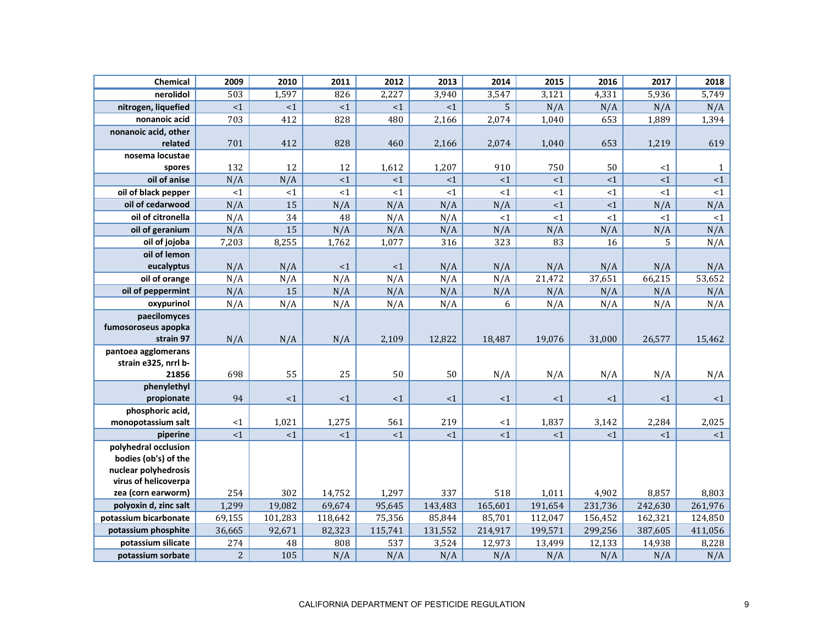| Chemical                                    | 2009           | 2010     | 2011     | 2012    | 2013     | 2014           | 2015     | 2016    | 2017     | 2018         |
|---------------------------------------------|----------------|----------|----------|---------|----------|----------------|----------|---------|----------|--------------|
| nerolidol                                   | 503            | 1,597    | 826      | 2,227   | 3,940    | 3,547          | 3,121    | 4,331   | 5,936    | 5,749        |
| nitrogen, liquefied                         | ${<}1$         | ${<}1$   | ${ <}1$  | $<1$    | ${<}1$   | $\overline{5}$ | N/A      | N/A     | N/A      | N/A          |
| nonanoic acid                               | 703            | 412      | 828      | 480     | 2,166    | 2,074          | 1,040    | 653     | 1,889    | 1,394        |
| nonanoic acid, other                        |                |          |          |         |          |                |          |         |          |              |
| related                                     | 701            | 412      | 828      | 460     | 2,166    | 2,074          | 1,040    | 653     | 1,219    | 619          |
| nosema locustae                             |                |          |          |         |          |                |          |         |          |              |
| spores                                      | 132            | 12       | 12       | 1,612   | 1,207    | 910            | 750      | 50      | <1       | $\mathbf{1}$ |
| oil of anise                                | N/A            | N/A      | $\leq 1$ | <1      | ${<}1$   | ${<}1$         | <1       | <1      | <1       | ${<}1$       |
| oil of black pepper                         | <1             | <1       | <1       | <1      | <1       | <1             | <1       | <1      | $\leq 1$ | <1           |
| oil of cedarwood                            | N/A            | 15       | N/A      | N/A     | N/A      | N/A            | <1       | <1      | N/A      | N/A          |
| oil of citronella                           | N/A            | 34       | 48       | N/A     | N/A      | <1             | <1       | <1      | <1       | $<1\,$       |
| oil of geranium                             | N/A            | 15       | N/A      | N/A     | N/A      | N/A            | N/A      | N/A     | N/A      | N/A          |
| oil of jojoba                               | 7,203          | 8,255    | 1,762    | 1,077   | 316      | 323            | 83       | 16      | 5        | N/A          |
| oil of lemon                                |                |          |          |         |          |                |          |         |          |              |
| eucalyptus                                  | N/A            | N/A      | <1       | <1      | N/A      | N/A            | N/A      | N/A     | N/A      | N/A          |
| oil of orange                               | N/A            | N/A      | N/A      | N/A     | N/A      | N/A            | 21,472   | 37,651  | 66,215   | 53,652       |
| oil of peppermint                           | N/A            | 15       | N/A      | N/A     | N/A      | N/A            | N/A      | N/A     | N/A      | N/A          |
| oxypurinol                                  | N/A            | N/A      | N/A      | N/A     | N/A      | 6              | N/A      | N/A     | N/A      | N/A          |
| paecilomyces                                |                |          |          |         |          |                |          |         |          |              |
| fumosoroseus apopka                         |                |          |          |         |          |                |          |         |          |              |
| strain 97                                   | N/A            | N/A      | N/A      | 2,109   | 12,822   | 18,487         | 19,076   | 31,000  | 26,577   | 15,462       |
| pantoea agglomerans<br>strain e325, nrrl b- |                |          |          |         |          |                |          |         |          |              |
| 21856                                       | 698            | 55       | 25       | 50      | 50       | N/A            | N/A      | N/A     | N/A      | N/A          |
| phenylethyl                                 |                |          |          |         |          |                |          |         |          |              |
| propionate                                  | 94             | $\leq 1$ | <1       | <1      | $\leq 1$ | $\leq 1$       | $\leq$ 1 | <1      | $\leq 1$ | $\leq 1$     |
| phosphoric acid,                            |                |          |          |         |          |                |          |         |          |              |
| monopotassium salt                          | $\leq 1$       | 1,021    | 1,275    | 561     | 219      | <1             | 1,837    | 3,142   | 2,284    | 2,025        |
| piperine                                    | $\leq 1$       | $<1\,$   | <1       | ${<}1$  | ${<}1$   | <1             | <1       | <1      | <1       | $\leq 1$     |
| polyhedral occlusion                        |                |          |          |         |          |                |          |         |          |              |
| bodies (ob's) of the                        |                |          |          |         |          |                |          |         |          |              |
| nuclear polyhedrosis                        |                |          |          |         |          |                |          |         |          |              |
| virus of helicoverpa                        |                |          |          |         |          |                |          |         |          |              |
| zea (corn earworm)                          | 254            | 302      | 14,752   | 1,297   | 337      | 518            | 1,011    | 4,902   | 8,857    | 8,803        |
| polyoxin d, zinc salt                       | 1,299          | 19,082   | 69,674   | 95,645  | 143,483  | 165,601        | 191,654  | 231,736 | 242,630  | 261,976      |
| potassium bicarbonate                       | 69,155         | 101,283  | 118,642  | 75,356  | 85,844   | 85,701         | 112,047  | 156,452 | 162,321  | 124,850      |
| potassium phosphite                         | 36,665         | 92,671   | 82,323   | 115,741 | 131,552  | 214,917        | 199,571  | 299,256 | 387,605  | 411,056      |
| potassium silicate                          | 274            | 48       | 808      | 537     | 3,524    | 12,973         | 13,499   | 12,133  | 14,938   | 8,228        |
| potassium sorbate                           | $\overline{c}$ | 105      | N/A      | N/A     | N/A      | N/A            | N/A      | N/A     | N/A      | N/A          |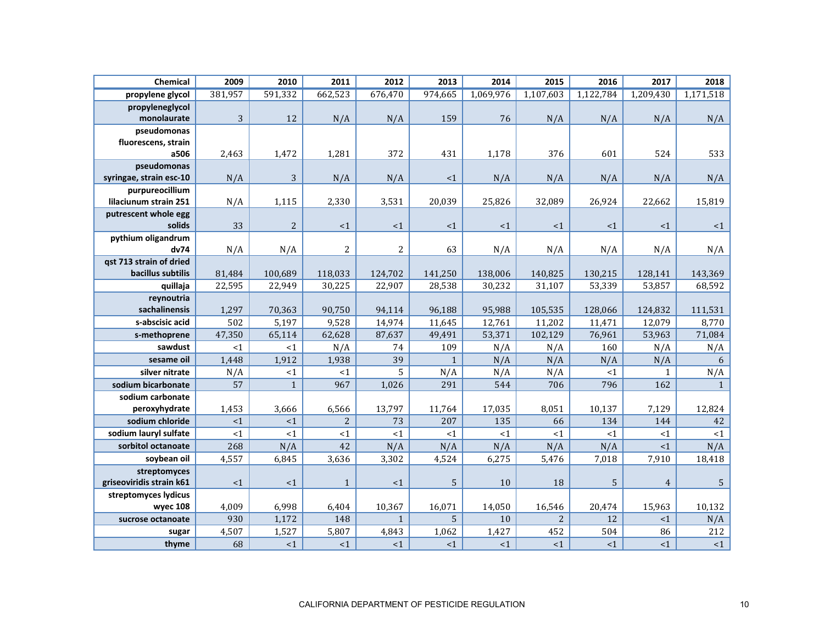| Chemical                 | 2009    | 2010           | 2011           | 2012         | 2013           | 2014      | 2015           | 2016      | 2017           | 2018             |
|--------------------------|---------|----------------|----------------|--------------|----------------|-----------|----------------|-----------|----------------|------------------|
| propylene glycol         | 381,957 | 591,332        | 662,523        | 676,470      | 974,665        | 1,069,976 | 1,107,603      | 1,122,784 | 1,209,430      | 1,171,518        |
| propyleneglycol          |         |                |                |              |                |           |                |           |                |                  |
| monolaurate              | 3       | 12             | N/A            | N/A          | 159            | 76        | N/A            | N/A       | N/A            | N/A              |
| pseudomonas              |         |                |                |              |                |           |                |           |                |                  |
| fluorescens, strain      |         |                |                |              |                |           |                |           |                |                  |
| a506                     | 2,463   | 1,472          | 1,281          | 372          | 431            | 1,178     | 376            | 601       | 524            | 533              |
| pseudomonas              |         |                |                |              |                |           |                |           |                |                  |
| syringae, strain esc-10  | N/A     | 3              | N/A            | N/A          | <1             | N/A       | N/A            | N/A       | N/A            | N/A              |
| purpureocillium          |         |                |                |              |                |           |                |           |                |                  |
| lilaciunum strain 251    | N/A     | 1,115          | 2,330          | 3,531        | 20,039         | 25,826    | 32,089         | 26,924    | 22,662         | 15,819           |
| putrescent whole egg     |         |                |                |              |                |           |                |           |                |                  |
| solids                   | 33      | $\overline{2}$ | ${<}1$         | $<1\,$       | $\leq 1$       | $\leq 1$  | <1             | <1        | ${<}1$         | $\leq 1$         |
| pythium oligandrum       |         |                |                |              |                |           |                |           |                |                  |
| dv74                     | N/A     | N/A            | 2              | 2            | 63             | N/A       | N/A            | N/A       | N/A            | N/A              |
| gst 713 strain of dried  |         |                |                |              |                |           |                |           |                |                  |
| bacillus subtilis        | 81,484  | 100,689        | 118,033        | 124,702      | 141,250        | 138,006   | 140,825        | 130,215   | 128,141        | 143,369          |
| quillaja                 | 22,595  | 22,949         | 30,225         | 22,907       | 28,538         | 30,232    | 31,107         | 53,339    | 53,857         | 68,592           |
| reynoutria               |         |                |                |              |                |           |                |           |                |                  |
| sachalinensis            | 1,297   | 70,363         | 90,750         | 94,114       | 96,188         | 95,988    | 105,535        | 128,066   | 124,832        | 111,531          |
| s-abscisic acid          | 502     | 5,197          | 9,528          | 14,974       | 11,645         | 12,761    | 11,202         | 11,471    | 12,079         | 8,770            |
| s-methoprene             | 47,350  | 65,114         | 62,628         | 87,637       | 49,491         | 53,371    | 102,129        | 76,961    | 53,963         | 71,084           |
| sawdust                  | <1      | <1             | N/A            | 74           | 109            | N/A       | N/A            | 160       | N/A            | N/A              |
| sesame oil               | 1,448   | 1,912          | 1,938          | 39           | $\mathbf{1}$   | N/A       | N/A            | N/A       | N/A            | 6                |
| silver nitrate           | N/A     | <1             | ${<}1$         | 5            | N/A            | N/A       | N/A            | <1        | $\mathbf{1}$   | N/A              |
| sodium bicarbonate       | 57      | $\mathbf{1}$   | 967            | 1,026        | 291            | 544       | 706            | 796       | 162            | $\mathbf{1}$     |
| sodium carbonate         |         |                |                |              |                |           |                |           |                |                  |
| peroxyhydrate            | 1,453   | 3,666          | 6,566          | 13,797       | 11,764         | 17,035    | 8,051          | 10,137    | 7,129          | 12,824           |
| sodium chloride          | ${<}1$  | $<1\,$         | $\overline{c}$ | 73           | 207            | 135       | 66             | 134       | 144            | 42               |
| sodium lauryl sulfate    | <1      | <1             | <1             | <1           | <1             | ${<}1$    | <1             | <1        | <1             | ${<}1$           |
| sorbitol octanoate       | 268     | N/A            | 42             | N/A          | N/A            | N/A       | N/A            | N/A       | <1             | N/A              |
| soybean oil              | 4,557   | 6,845          | 3,636          | 3,302        | 4,524          | 6,275     | 5,476          | 7,018     | 7,910          | 18,418           |
| streptomyces             |         |                |                |              |                |           |                |           |                |                  |
| griseoviridis strain k61 | <1      | <1             | $\mathbf{1}$   | <1           | $\overline{5}$ | 10        | 18             | 5         | $\overline{4}$ | $\mathsf S$      |
| streptomyces lydicus     |         |                |                |              |                |           |                |           |                |                  |
| wyec 108                 | 4,009   | 6,998          | 6,404          | 10,367       | 16,071         | 14,050    | 16,546         | 20,474    | 15,963         | 10,132           |
| sucrose octanoate        | 930     | 1,172          | 148            | $\mathbf{1}$ | 5              | 10        | $\overline{c}$ | 12        | <1             | N/A              |
| sugar                    | 4,507   | 1,527          | 5,807          | 4,843        | 1,062          | 1,427     | 452            | 504       | 86             | $\overline{212}$ |
| thyme                    | 68      | <1             | <1             | <1           | <1             | <1        | <1             | <1        | <1             | <1               |